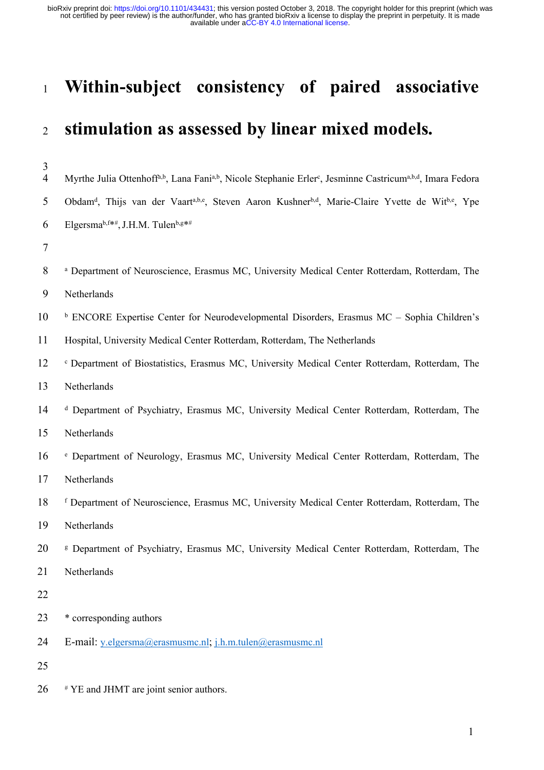# <sup>1</sup> **Within-subject consistency of paired associative**  <sup>2</sup> **stimulation as assessed by linear mixed models.**

 $\frac{3}{4}$ 

4 Myrthe Julia Ottenhoff<sup>a,b</sup>, Lana Fani<sup>a,b</sup>, Nicole Stephanie Erler<sup>c</sup>, Jesminne Castricum<sup>a,b,d</sup>, Imara Fedora 5 Obdam<sup>d</sup>, Thijs van der Vaart<sup>a,b,e</sup>, Steven Aaron Kushner<sup>b,d</sup>, Marie-Claire Yvette de Wit<sup>b,e</sup>, Ype 6 Elgersma<sup>b,f\*#</sup>, J.H.M. Tulen<sup>b,g\*#</sup>

- 7
- 8 a Department of Neuroscience, Erasmus MC, University Medical Center Rotterdam, Rotterdam, The
- 9 Netherlands
- 10 <sup>b</sup> ENCORE Expertise Center for Neurodevelopmental Disorders, Erasmus MC – Sophia Children's
- 11 Hospital, University Medical Center Rotterdam, Rotterdam, The Netherlands
- 12 cDepartment of Biostatistics, Erasmus MC, University Medical Center Rotterdam, Rotterdam, The
- 13 Netherlands
- 14 <sup>d</sup> Department of Psychiatry, Erasmus MC, University Medical Center Rotterdam, Rotterdam, The 15 Netherlands
- $16$  Department of Neurology, Erasmus MC, University Medical Center Rotterdam, Rotterdam, The 17 Netherlands
- 18 <sup>f</sup> Department of Neuroscience, Erasmus MC, University Medical Center Rotterdam, Rotterdam, The
- 19 Netherlands
- 20 Department of Psychiatry, Erasmus MC, University Medical Center Rotterdam, Rotterdam, The
- 21 Netherlands
- 22
- 23 \* corresponding authors
- 24 E-mail: y.elgersma@erasmusmc.nl; j.h.m.tulen@erasmusmc.nl
- 25
- 26 # YE and JHMT are joint senior authors.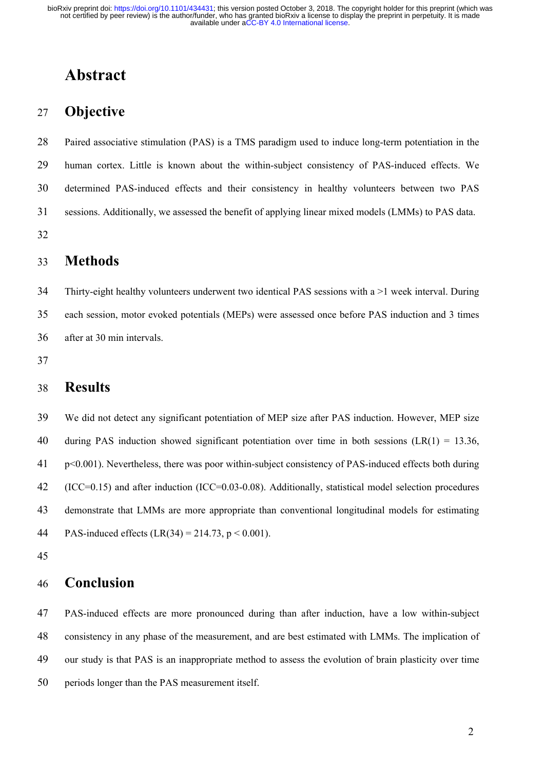# **Abstract**

#### **Objective**

 Paired associative stimulation (PAS) is a TMS paradigm used to induce long-term potentiation in the human cortex. Little is known about the within-subject consistency of PAS-induced effects. We determined PAS-induced effects and their consistency in healthy volunteers between two PAS sessions. Additionally, we assessed the benefit of applying linear mixed models (LMMs) to PAS data. 

#### **Methods**

 Thirty-eight healthy volunteers underwent two identical PAS sessions with a >1 week interval. During each session, motor evoked potentials (MEPs) were assessed once before PAS induction and 3 times after at 30 min intervals.

#### **Results**

 We did not detect any significant potentiation of MEP size after PAS induction. However, MEP size during PAS induction showed significant potentiation over time in both sessions (LR(1) = 13.36, p<0.001). Nevertheless, there was poor within-subject consistency of PAS-induced effects both during (ICC=0.15) and after induction (ICC=0.03-0.08). Additionally, statistical model selection procedures demonstrate that LMMs are more appropriate than conventional longitudinal models for estimating 44 PAS-induced effects  $(LR(34) = 214.73, p \le 0.001)$ .

#### **Conclusion**

 PAS-induced effects are more pronounced during than after induction, have a low within-subject consistency in any phase of the measurement, and are best estimated with LMMs. The implication of our study is that PAS is an inappropriate method to assess the evolution of brain plasticity over time periods longer than the PAS measurement itself.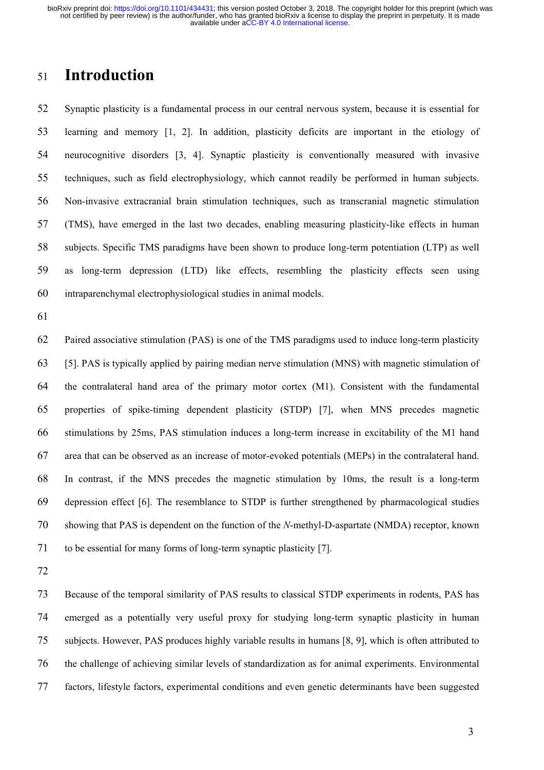#### **Introduction**

 Synaptic plasticity is a fundamental process in our central nervous system, because it is essential for learning and memory [1, 2]. In addition, plasticity deficits are important in the etiology of neurocognitive disorders [3, 4]. Synaptic plasticity is conventionally measured with invasive techniques, such as field electrophysiology, which cannot readily be performed in human subjects. Non-invasive extracranial brain stimulation techniques, such as transcranial magnetic stimulation (TMS), have emerged in the last two decades, enabling measuring plasticity-like effects in human subjects. Specific TMS paradigms have been shown to produce long-term potentiation (LTP) as well as long-term depression (LTD) like effects, resembling the plasticity effects seen using intraparenchymal electrophysiological studies in animal models.

 Paired associative stimulation (PAS) is one of the TMS paradigms used to induce long-term plasticity [5]. PAS is typically applied by pairing median nerve stimulation (MNS) with magnetic stimulation of the contralateral hand area of the primary motor cortex (M1). Consistent with the fundamental properties of spike-timing dependent plasticity (STDP) [7], when MNS precedes magnetic stimulations by 25ms, PAS stimulation induces a long-term increase in excitability of the M1 hand area that can be observed as an increase of motor-evoked potentials (MEPs) in the contralateral hand. In contrast, if the MNS precedes the magnetic stimulation by 10ms, the result is a long-term depression effect [6]. The resemblance to STDP is further strengthened by pharmacological studies showing that PAS is dependent on the function of the *N*-methyl-D-aspartate (NMDA) receptor, known to be essential for many forms of long-term synaptic plasticity [7].

 Because of the temporal similarity of PAS results to classical STDP experiments in rodents, PAS has emerged as a potentially very useful proxy for studying long-term synaptic plasticity in human subjects. However, PAS produces highly variable results in humans [8, 9], which is often attributed to the challenge of achieving similar levels of standardization as for animal experiments. Environmental factors, lifestyle factors, experimental conditions and even genetic determinants have been suggested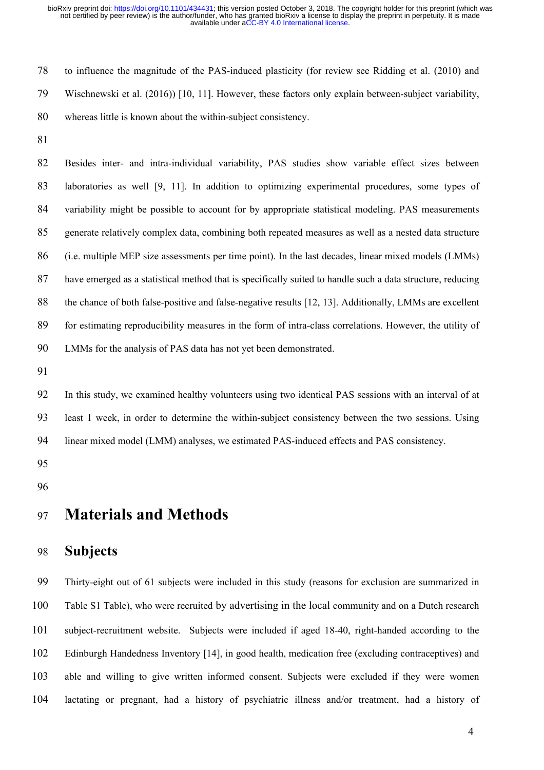to influence the magnitude of the PAS-induced plasticity (for review see Ridding et al. (2010) and Wischnewski et al. (2016)) [10, 11]. However, these factors only explain between-subject variability, whereas little is known about the within-subject consistency.

 Besides inter- and intra-individual variability, PAS studies show variable effect sizes between laboratories as well [9, 11]. In addition to optimizing experimental procedures, some types of variability might be possible to account for by appropriate statistical modeling. PAS measurements generate relatively complex data, combining both repeated measures as well as a nested data structure (i.e. multiple MEP size assessments per time point). In the last decades, linear mixed models (LMMs) have emerged as a statistical method that is specifically suited to handle such a data structure, reducing the chance of both false-positive and false-negative results [12, 13]. Additionally, LMMs are excellent for estimating reproducibility measures in the form of intra-class correlations. However, the utility of LMMs for the analysis of PAS data has not yet been demonstrated.

 In this study, we examined healthy volunteers using two identical PAS sessions with an interval of at least 1 week, in order to determine the within-subject consistency between the two sessions. Using linear mixed model (LMM) analyses, we estimated PAS-induced effects and PAS consistency.

#### **Materials and Methods**

#### **Subjects**

 Thirty-eight out of 61 subjects were included in this study (reasons for exclusion are summarized in Table S1 Table), who were recruited by advertising in the local community and on a Dutch research subject-recruitment website. Subjects were included if aged 18-40, right-handed according to the Edinburgh Handedness Inventory [14], in good health, medication free (excluding contraceptives) and able and willing to give written informed consent. Subjects were excluded if they were women lactating or pregnant, had a history of psychiatric illness and/or treatment, had a history of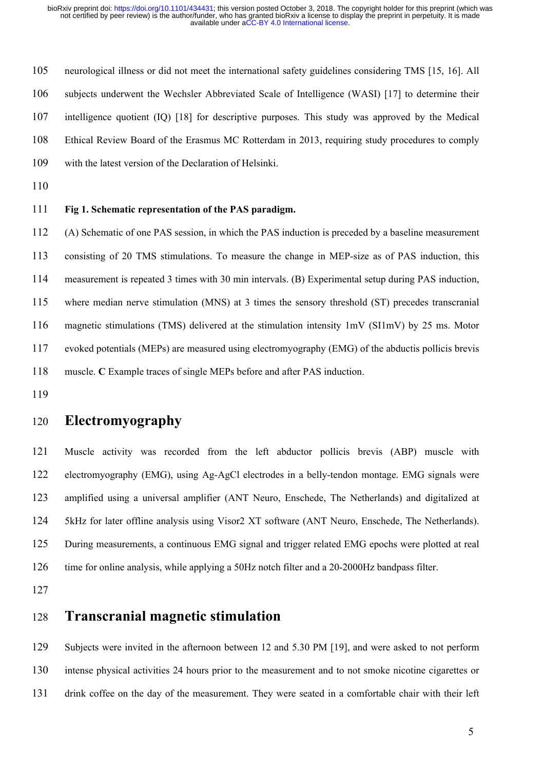neurological illness or did not meet the international safety guidelines considering TMS [15, 16]. All subjects underwent the Wechsler Abbreviated Scale of Intelligence (WASI) [17] to determine their intelligence quotient (IQ) [18] for descriptive purposes. This study was approved by the Medical Ethical Review Board of the Erasmus MC Rotterdam in 2013, requiring study procedures to comply with the latest version of the Declaration of Helsinki.

#### **Fig 1. Schematic representation of the PAS paradigm.**

 (A) Schematic of one PAS session, in which the PAS induction is preceded by a baseline measurement consisting of 20 TMS stimulations. To measure the change in MEP-size as of PAS induction, this measurement is repeated 3 times with 30 min intervals. (B) Experimental setup during PAS induction, where median nerve stimulation (MNS) at 3 times the sensory threshold (ST) precedes transcranial magnetic stimulations (TMS) delivered at the stimulation intensity 1mV (SI1mV) by 25 ms. Motor evoked potentials (MEPs) are measured using electromyography (EMG) of the abductis pollicis brevis muscle. **C** Example traces of single MEPs before and after PAS induction.

#### **Electromyography**

 Muscle activity was recorded from the left abductor pollicis brevis (ABP) muscle with electromyography (EMG), using Ag-AgCl electrodes in a belly-tendon montage. EMG signals were amplified using a universal amplifier (ANT Neuro, Enschede, The Netherlands) and digitalized at 5kHz for later offline analysis using Visor2 XT software (ANT Neuro, Enschede, The Netherlands). During measurements, a continuous EMG signal and trigger related EMG epochs were plotted at real time for online analysis, while applying a 50Hz notch filter and a 20-2000Hz bandpass filter.

#### **Transcranial magnetic stimulation**

 Subjects were invited in the afternoon between 12 and 5.30 PM [19], and were asked to not perform intense physical activities 24 hours prior to the measurement and to not smoke nicotine cigarettes or drink coffee on the day of the measurement. They were seated in a comfortable chair with their left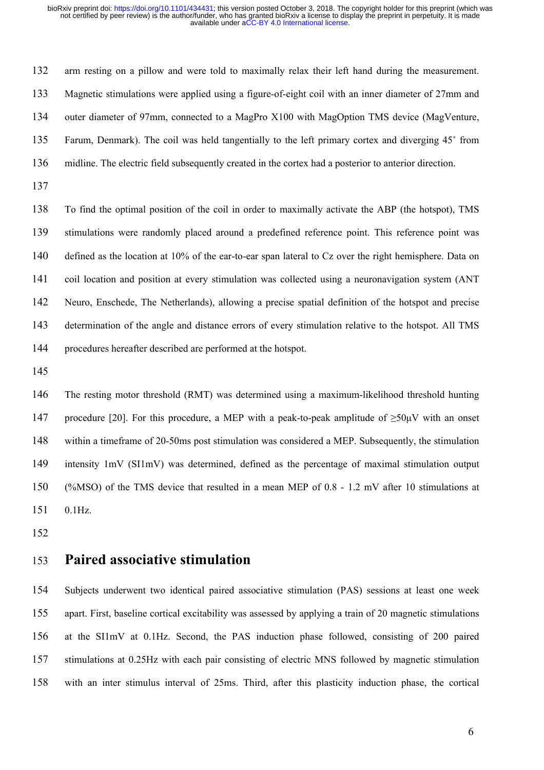arm resting on a pillow and were told to maximally relax their left hand during the measurement. Magnetic stimulations were applied using a figure-of-eight coil with an inner diameter of 27mm and outer diameter of 97mm, connected to a MagPro X100 with MagOption TMS device (MagVenture, Farum, Denmark). The coil was held tangentially to the left primary cortex and diverging 45˚ from midline. The electric field subsequently created in the cortex had a posterior to anterior direction.

 To find the optimal position of the coil in order to maximally activate the ABP (the hotspot), TMS stimulations were randomly placed around a predefined reference point. This reference point was 140 defined as the location at 10% of the ear-to-ear span lateral to Cz over the right hemisphere. Data on coil location and position at every stimulation was collected using a neuronavigation system (ANT Neuro, Enschede, The Netherlands), allowing a precise spatial definition of the hotspot and precise determination of the angle and distance errors of every stimulation relative to the hotspot. All TMS procedures hereafter described are performed at the hotspot.

 The resting motor threshold (RMT) was determined using a maximum-likelihood threshold hunting 147 procedure [20]. For this procedure, a MEP with a peak-to-peak amplitude of  $>50$ uV with an onset within a timeframe of 20-50ms post stimulation was considered a MEP. Subsequently, the stimulation intensity 1mV (SI1mV) was determined, defined as the percentage of maximal stimulation output (%MSO) of the TMS device that resulted in a mean MEP of 0.8 - 1.2 mV after 10 stimulations at 0.1Hz.

#### **Paired associative stimulation**

 Subjects underwent two identical paired associative stimulation (PAS) sessions at least one week apart. First, baseline cortical excitability was assessed by applying a train of 20 magnetic stimulations at the SI1mV at 0.1Hz. Second, the PAS induction phase followed, consisting of 200 paired stimulations at 0.25Hz with each pair consisting of electric MNS followed by magnetic stimulation with an inter stimulus interval of 25ms. Third, after this plasticity induction phase, the cortical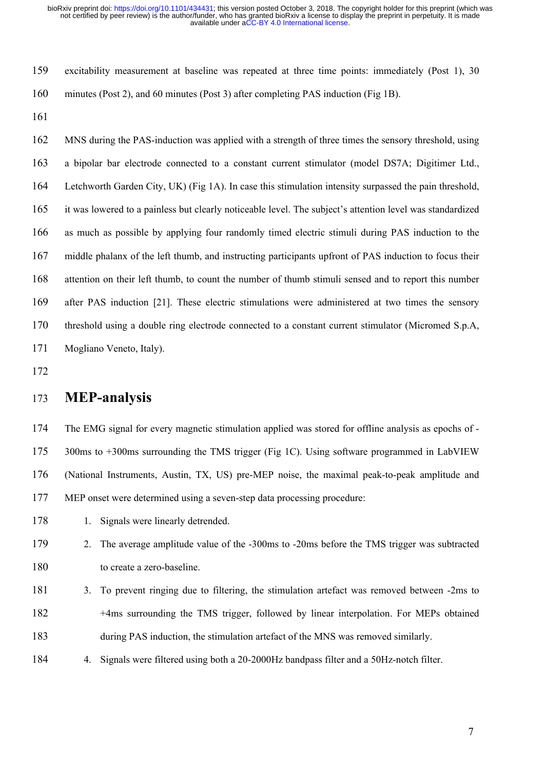excitability measurement at baseline was repeated at three time points: immediately (Post 1), 30 minutes (Post 2), and 60 minutes (Post 3) after completing PAS induction (Fig 1B).

 MNS during the PAS-induction was applied with a strength of three times the sensory threshold, using a bipolar bar electrode connected to a constant current stimulator (model DS7A; Digitimer Ltd., Letchworth Garden City, UK) (Fig 1A). In case this stimulation intensity surpassed the pain threshold, it was lowered to a painless but clearly noticeable level. The subject's attention level was standardized as much as possible by applying four randomly timed electric stimuli during PAS induction to the middle phalanx of the left thumb, and instructing participants upfront of PAS induction to focus their attention on their left thumb, to count the number of thumb stimuli sensed and to report this number after PAS induction [21]. These electric stimulations were administered at two times the sensory threshold using a double ring electrode connected to a constant current stimulator (Micromed S.p.A, Mogliano Veneto, Italy).

#### **MEP-analysis**

 The EMG signal for every magnetic stimulation applied was stored for offline analysis as epochs of - 300ms to +300ms surrounding the TMS trigger (Fig 1C). Using software programmed in LabVIEW (National Instruments, Austin, TX, US) pre-MEP noise, the maximal peak-to-peak amplitude and MEP onset were determined using a seven-step data processing procedure:

- 178 1. Signals were linearly detrended.
- 2. The average amplitude value of the -300ms to -20ms before the TMS trigger was subtracted to create a zero-baseline.
- 3. To prevent ringing due to filtering, the stimulation artefact was removed between -2ms to +4ms surrounding the TMS trigger, followed by linear interpolation. For MEPs obtained during PAS induction, the stimulation artefact of the MNS was removed similarly.
- 4. Signals were filtered using both a 20-2000Hz bandpass filter and a 50Hz-notch filter.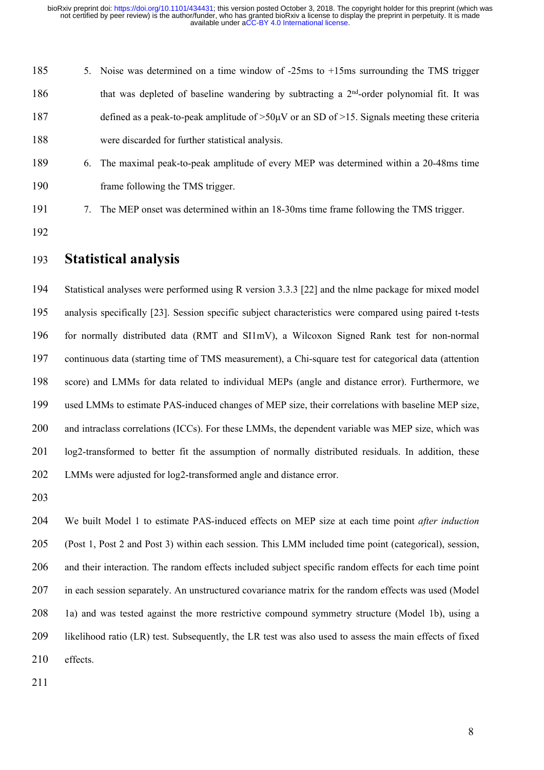| 185 | 5. Noise was determined on a time window of $-25$ ms to $+15$ ms surrounding the TMS trigger           |
|-----|--------------------------------------------------------------------------------------------------------|
| 186 | that was depleted of baseline wandering by subtracting a 2 <sup>nd</sup> -order polynomial fit. It was |
| 187 | defined as a peak-to-peak amplitude of $>50\mu$ V or an SD of $>15$ . Signals meeting these criteria   |
| 188 | were discarded for further statistical analysis.                                                       |

 6. The maximal peak-to-peak amplitude of every MEP was determined within a 20-48ms time frame following the TMS trigger.

7. The MEP onset was determined within an 18-30ms time frame following the TMS trigger.

**Statistical analysis**

 Statistical analyses were performed using R version 3.3.3 [22] and the nlme package for mixed model analysis specifically [23]. Session specific subject characteristics were compared using paired t-tests for normally distributed data (RMT and SI1mV), a Wilcoxon Signed Rank test for non-normal continuous data (starting time of TMS measurement), a Chi-square test for categorical data (attention score) and LMMs for data related to individual MEPs (angle and distance error). Furthermore, we used LMMs to estimate PAS-induced changes of MEP size, their correlations with baseline MEP size, and intraclass correlations (ICCs). For these LMMs, the dependent variable was MEP size, which was log2-transformed to better fit the assumption of normally distributed residuals. In addition, these LMMs were adjusted for log2-transformed angle and distance error.

 We built Model 1 to estimate PAS-induced effects on MEP size at each time point *after induction* (Post 1, Post 2 and Post 3) within each session. This LMM included time point (categorical), session, and their interaction. The random effects included subject specific random effects for each time point in each session separately. An unstructured covariance matrix for the random effects was used (Model 1a) and was tested against the more restrictive compound symmetry structure (Model 1b), using a 209 likelihood ratio (LR) test. Subsequently, the LR test was also used to assess the main effects of fixed effects.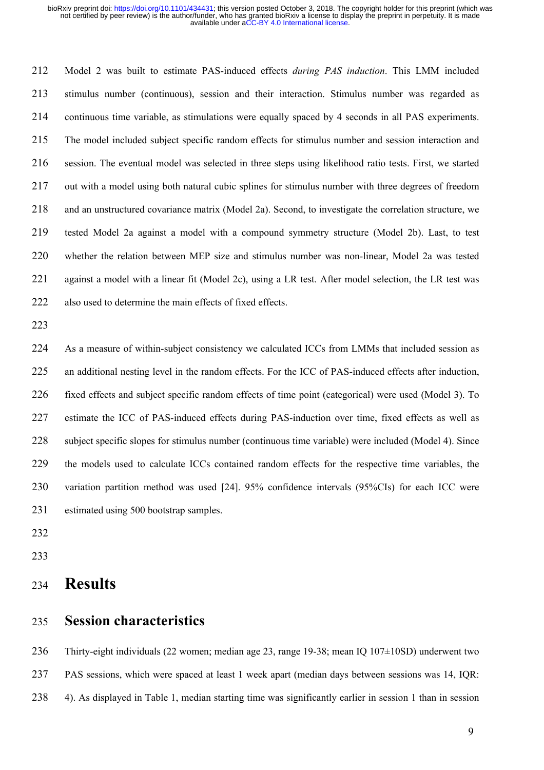Model 2 was built to estimate PAS-induced effects *during PAS induction*. This LMM included stimulus number (continuous), session and their interaction. Stimulus number was regarded as continuous time variable, as stimulations were equally spaced by 4 seconds in all PAS experiments. The model included subject specific random effects for stimulus number and session interaction and session. The eventual model was selected in three steps using likelihood ratio tests. First, we started out with a model using both natural cubic splines for stimulus number with three degrees of freedom and an unstructured covariance matrix (Model 2a). Second, to investigate the correlation structure, we tested Model 2a against a model with a compound symmetry structure (Model 2b). Last, to test whether the relation between MEP size and stimulus number was non-linear, Model 2a was tested 221 against a model with a linear fit (Model 2c), using a LR test. After model selection, the LR test was also used to determine the main effects of fixed effects.

 As a measure of within-subject consistency we calculated ICCs from LMMs that included session as an additional nesting level in the random effects. For the ICC of PAS-induced effects after induction, fixed effects and subject specific random effects of time point (categorical) were used (Model 3). To 227 estimate the ICC of PAS-induced effects during PAS-induction over time, fixed effects as well as subject specific slopes for stimulus number (continuous time variable) were included (Model 4). Since the models used to calculate ICCs contained random effects for the respective time variables, the variation partition method was used [24]. 95% confidence intervals (95%CIs) for each ICC were estimated using 500 bootstrap samples.

- 
- 

### **Results**

#### **Session characteristics**

 Thirty-eight individuals (22 women; median age 23, range 19-38; mean IQ 107±10SD) underwent two PAS sessions, which were spaced at least 1 week apart (median days between sessions was 14, IQR: 4). As displayed in Table 1, median starting time was significantly earlier in session 1 than in session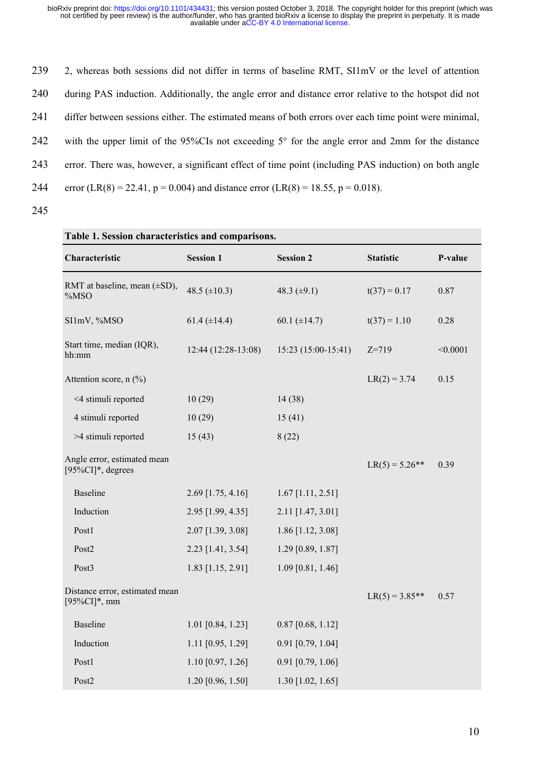2, whereas both sessions did not differ in terms of baseline RMT, SI1mV or the level of attention during PAS induction. Additionally, the angle error and distance error relative to the hotspot did not differ between sessions either. The estimated means of both errors over each time point were minimal, 242 with the upper limit of the 95%CIs not exceeding  $5^{\circ}$  for the angle error and 2mm for the distance error. There was, however, a significant effect of time point (including PAS induction) on both angle 244 error (LR(8) = 22.41,  $p = 0.004$ ) and distance error (LR(8) = 18.55,  $p = 0.018$ ).

245

| Labic 1. Session chai actei istics and comparisons.  |                                            |                     |                  |          |  |  |
|------------------------------------------------------|--------------------------------------------|---------------------|------------------|----------|--|--|
| Characteristic                                       | <b>Session 1</b>                           | <b>Session 2</b>    | <b>Statistic</b> | P-value  |  |  |
| RMT at baseline, mean $(\pm SD)$ ,<br>%MSO           | 48.5 $(\pm 10.3)$                          | 48.3 $(\pm 9.1)$    |                  | 0.87     |  |  |
| SI1mV, %MSO                                          | 61.4 $(\pm 14.4)$                          | 60.1 $(\pm 14.7)$   | $t(37) = 1.10$   | 0.28     |  |  |
| Start time, median (IQR),<br>hh:mm                   | 12:44 (12:28-13:08)<br>15:23 (15:00-15:41) |                     | $Z = 719$        | < 0.0001 |  |  |
| Attention score, n (%)                               |                                            |                     | $LR(2) = 3.74$   | 0.15     |  |  |
| <4 stimuli reported                                  | 10(29)                                     | 14(38)              |                  |          |  |  |
| 4 stimuli reported                                   | 10(29)                                     | 15(41)              |                  |          |  |  |
| >4 stimuli reported                                  | 15(43)                                     | 8(22)               |                  |          |  |  |
| Angle error, estimated mean<br>$[95\%CI]*$ , degrees |                                            |                     | $LR(5) = 5.26**$ | 0.39     |  |  |
| <b>Baseline</b>                                      | $2.69$ [1.75, 4.16]                        | $1.67$ [1.11, 2.51] |                  |          |  |  |
| Induction                                            | 2.95 [1.99, 4.35]                          | 2.11 [1.47, 3.01]   |                  |          |  |  |
| Post1                                                | 2.07 [1.39, 3.08]                          | 1.86 [1.12, 3.08]   |                  |          |  |  |
| Post2                                                | 2.23 [1.41, 3.54]                          | 1.29 [0.89, 1.87]   |                  |          |  |  |
| Post3                                                | 1.83 [1.15, 2.91]                          | $1.09$ [0.81, 1.46] |                  |          |  |  |
| Distance error, estimated mean<br>$[95\%CI]*$ , mm   |                                            |                     | $LR(5) = 3.85**$ | 0.57     |  |  |
| <b>Baseline</b>                                      | $1.01$ [0.84, 1.23]                        | $0.87$ [0.68, 1.12] |                  |          |  |  |
| Induction                                            | 1.11 [0.95, 1.29]                          | 0.91 [0.79, 1.04]   |                  |          |  |  |
| Post1                                                | $1.10$ [0.97, 1.26]                        | $0.91$ [0.79, 1.06] |                  |          |  |  |
| Post2                                                | 1.20 [0.96, 1.50]                          | $1.30$ [1.02, 1.65] |                  |          |  |  |

**Table 1. Session characteristics and comparisons.**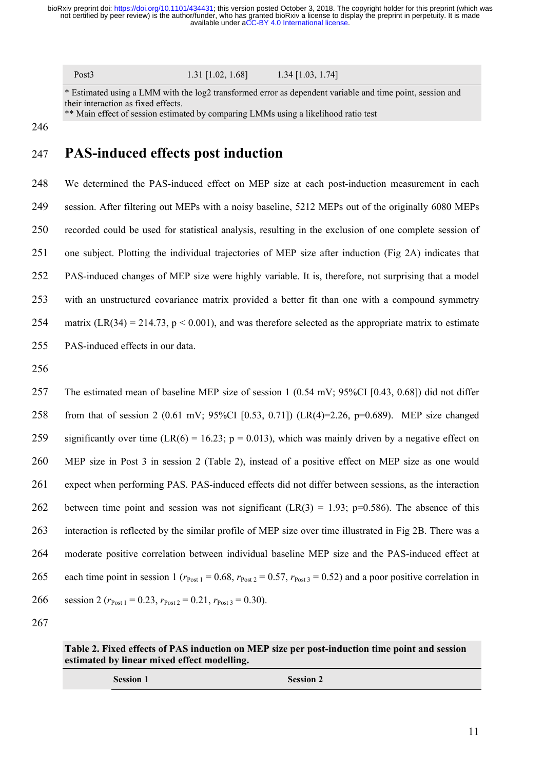| Post3                               | $1.31$ [1.02, 1.68] | $1.34$ [1.03, 1.74]                                                                                       |
|-------------------------------------|---------------------|-----------------------------------------------------------------------------------------------------------|
| their interaction as fixed effects. |                     | * Estimated using a LMM with the log2 transformed error as dependent variable and time point, session and |

\*\* Main effect of session estimated by comparing LMMs using a likelihood ratio test

246

#### 247 **PAS-induced effects post induction**

 We determined the PAS-induced effect on MEP size at each post-induction measurement in each session. After filtering out MEPs with a noisy baseline, 5212 MEPs out of the originally 6080 MEPs recorded could be used for statistical analysis, resulting in the exclusion of one complete session of one subject. Plotting the individual trajectories of MEP size after induction (Fig 2A) indicates that PAS-induced changes of MEP size were highly variable. It is, therefore, not surprising that a model with an unstructured covariance matrix provided a better fit than one with a compound symmetry 254 matrix (LR(34) = 214.73,  $p < 0.001$ ), and was therefore selected as the appropriate matrix to estimate PAS-induced effects in our data.

256

257 The estimated mean of baseline MEP size of session 1 (0.54 mV; 95%CI [0.43, 0.68]) did not differ 258 from that of session 2 (0.61 mV; 95%CI [0.53, 0.71]) (LR(4)=2.26, p=0.689). MEP size changed 259 significantly over time  $(LR(6) = 16.23; p = 0.013)$ , which was mainly driven by a negative effect on 260 MEP size in Post 3 in session 2 (Table 2), instead of a positive effect on MEP size as one would 261 expect when performing PAS. PAS-induced effects did not differ between sessions, as the interaction 262 between time point and session was not significant  $(LR(3) = 1.93; p=0.586)$ . The absence of this 263 interaction is reflected by the similar profile of MEP size over time illustrated in Fig 2B. There was a 264 moderate positive correlation between individual baseline MEP size and the PAS-induced effect at 265 each time point in session 1 ( $r_{\text{Post 1}} = 0.68$ ,  $r_{\text{Post 2}} = 0.57$ ,  $r_{\text{Post 3}} = 0.52$ ) and a poor positive correlation in 266 session 2 ( $r_{\text{Post 1}} = 0.23$ ,  $r_{\text{Post 2}} = 0.21$ ,  $r_{\text{Post 3}} = 0.30$ ).

267

#### **Table 2. Fixed effects of PAS induction on MEP size per post-induction time point and session estimated by linear mixed effect modelling.**

| <b>Session 1</b> | <b>Session 2</b> |
|------------------|------------------|
|                  |                  |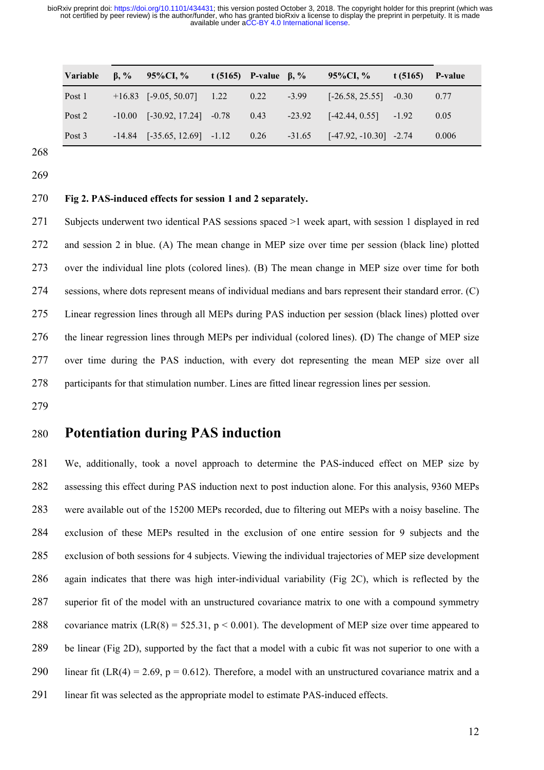| Variable | $\beta$ , % | 95% CI, % t (5165) P-value $\beta$ , % |  | 95% CI, % t (5165) P-value                                                    |       |
|----------|-------------|----------------------------------------|--|-------------------------------------------------------------------------------|-------|
| Post 1   |             |                                        |  | $+16.83$ [-9.05, 50.07] 1.22 0.22 -3.99 [-26.58, 25.55] -0.30                 | 0.77  |
| Post 2   |             |                                        |  | $-10.00$ $[-30.92, 17.24]$ $-0.78$ $0.43$ $-23.92$ $[-42.44, 0.55]$ $-1.92$   | 0.05  |
| Post 3   |             |                                        |  | $-14.84$ $[-35.65, 12.69]$ $-1.12$ $0.26$ $-31.65$ $[-47.92, -10.30]$ $-2.74$ | 0.006 |

#### **Fig 2. PAS-induced effects for session 1 and 2 separately.**

 Subjects underwent two identical PAS sessions spaced >1 week apart, with session 1 displayed in red and session 2 in blue. (A) The mean change in MEP size over time per session (black line) plotted over the individual line plots (colored lines). (B) The mean change in MEP size over time for both sessions, where dots represent means of individual medians and bars represent their standard error. (C) Linear regression lines through all MEPs during PAS induction per session (black lines) plotted over the linear regression lines through MEPs per individual (colored lines). **(**D) The change of MEP size over time during the PAS induction, with every dot representing the mean MEP size over all participants for that stimulation number. Lines are fitted linear regression lines per session.

#### **Potentiation during PAS induction**

 We, additionally, took a novel approach to determine the PAS-induced effect on MEP size by assessing this effect during PAS induction next to post induction alone. For this analysis, 9360 MEPs were available out of the 15200 MEPs recorded, due to filtering out MEPs with a noisy baseline. The exclusion of these MEPs resulted in the exclusion of one entire session for 9 subjects and the exclusion of both sessions for 4 subjects. Viewing the individual trajectories of MEP size development again indicates that there was high inter-individual variability (Fig 2C), which is reflected by the superior fit of the model with an unstructured covariance matrix to one with a compound symmetry 288 covariance matrix  $(LR(8) = 525.31, p \le 0.001)$ . The development of MEP size over time appeared to be linear (Fig 2D), supported by the fact that a model with a cubic fit was not superior to one with a 290 linear fit (LR(4) = 2.69, p = 0.612). Therefore, a model with an unstructured covariance matrix and a linear fit was selected as the appropriate model to estimate PAS-induced effects.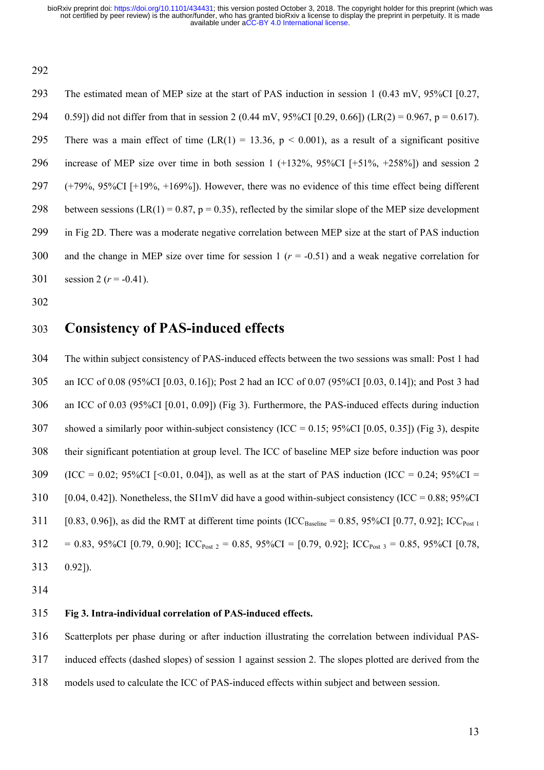The estimated mean of MEP size at the start of PAS induction in session 1 (0.43 mV, 95%CI [0.27, 294 0.59]) did not differ from that in session 2 (0.44 mV, 95%CI [0.29, 0.66]) (LR(2) = 0.967, p = 0.617). 295 There was a main effect of time  $(LR(1) = 13.36, p < 0.001)$ , as a result of a significant positive increase of MEP size over time in both session 1 (+132%, 95%CI [+51%, +258%]) and session 2 (+79%, 95%CI [+19%, +169%]). However, there was no evidence of this time effect being different 298 between sessions (LR(1) = 0.87, p = 0.35), reflected by the similar slope of the MEP size development in Fig 2D. There was a moderate negative correlation between MEP size at the start of PAS induction and the change in MEP size over time for session 1 (*r* = -0.51) and a weak negative correlation for 301 session 2 ( $r = -0.41$ ).

#### **Consistency of PAS-induced effects**

 The within subject consistency of PAS-induced effects between the two sessions was small: Post 1 had an ICC of 0.08 (95%CI [0.03, 0.16]); Post 2 had an ICC of 0.07 (95%CI [0.03, 0.14]); and Post 3 had an ICC of 0.03 (95%CI [0.01, 0.09]) (Fig 3). Furthermore, the PAS-induced effects during induction showed a similarly poor within-subject consistency (ICC = 0.15; 95%CI [0.05, 0.35]) (Fig 3), despite their significant potentiation at group level. The ICC of baseline MEP size before induction was poor 309 (ICC = 0.02; 95%CI [<0.01, 0.04]), as well as at the start of PAS induction (ICC = 0.24; 95%CI = 310  $[0.04, 0.42]$ ). Nonetheless, the SI1mV did have a good within-subject consistency (ICC = 0.88; 95%CI) 311 [0.83, 0.96]), as did the RMT at different time points (ICC<sub>Baseline</sub> = 0.85, 95%CI [0.77, 0.92]; ICC<sub>Post 1</sub>  $312 = 0.83, 95\% \text{CI} [0.79, 0.90]; \text{ICC}_{\text{Post 2}} = 0.85, 95\% \text{CI} = [0.79, 0.92]; \text{ICC}_{\text{Post 3}} = 0.85, 95\% \text{CI} [0.78,$ 0.92]).

#### **Fig 3. Intra-individual correlation of PAS-induced effects.**

 Scatterplots per phase during or after induction illustrating the correlation between individual PAS- induced effects (dashed slopes) of session 1 against session 2. The slopes plotted are derived from the models used to calculate the ICC of PAS-induced effects within subject and between session.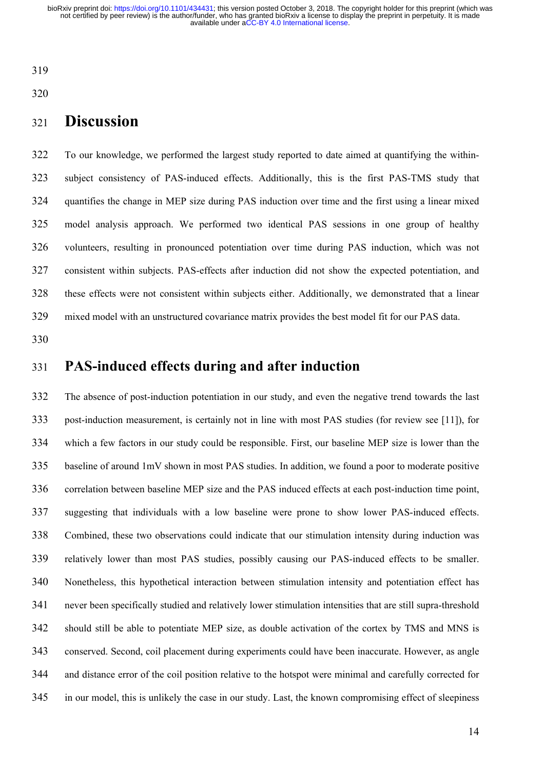#### **Discussion**

 To our knowledge, we performed the largest study reported to date aimed at quantifying the within- subject consistency of PAS-induced effects. Additionally, this is the first PAS-TMS study that quantifies the change in MEP size during PAS induction over time and the first using a linear mixed model analysis approach. We performed two identical PAS sessions in one group of healthy volunteers, resulting in pronounced potentiation over time during PAS induction, which was not consistent within subjects. PAS-effects after induction did not show the expected potentiation, and these effects were not consistent within subjects either. Additionally, we demonstrated that a linear mixed model with an unstructured covariance matrix provides the best model fit for our PAS data.

#### **PAS-induced effects during and after induction**

 The absence of post-induction potentiation in our study, and even the negative trend towards the last post-induction measurement, is certainly not in line with most PAS studies (for review see [11]), for which a few factors in our study could be responsible. First, our baseline MEP size is lower than the baseline of around 1mV shown in most PAS studies. In addition, we found a poor to moderate positive correlation between baseline MEP size and the PAS induced effects at each post-induction time point, suggesting that individuals with a low baseline were prone to show lower PAS-induced effects. Combined, these two observations could indicate that our stimulation intensity during induction was relatively lower than most PAS studies, possibly causing our PAS-induced effects to be smaller. Nonetheless, this hypothetical interaction between stimulation intensity and potentiation effect has never been specifically studied and relatively lower stimulation intensities that are still supra-threshold should still be able to potentiate MEP size, as double activation of the cortex by TMS and MNS is conserved. Second, coil placement during experiments could have been inaccurate. However, as angle and distance error of the coil position relative to the hotspot were minimal and carefully corrected for in our model, this is unlikely the case in our study. Last, the known compromising effect of sleepiness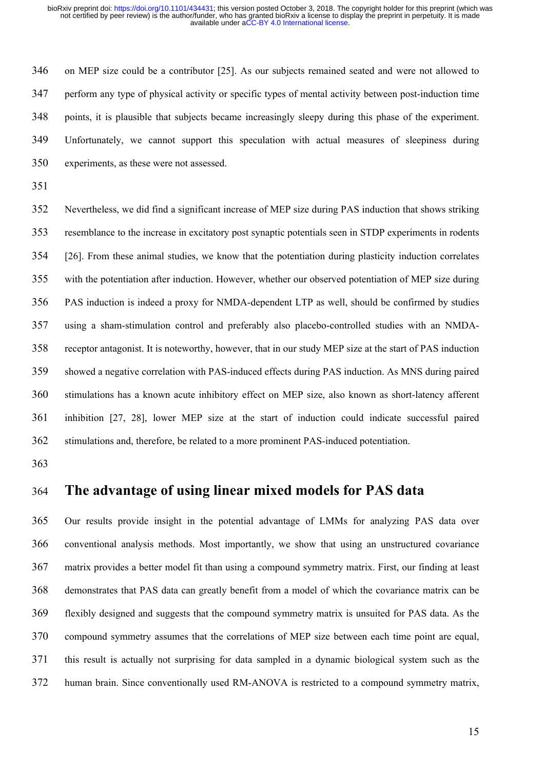on MEP size could be a contributor [25]. As our subjects remained seated and were not allowed to perform any type of physical activity or specific types of mental activity between post-induction time points, it is plausible that subjects became increasingly sleepy during this phase of the experiment. Unfortunately, we cannot support this speculation with actual measures of sleepiness during experiments, as these were not assessed.

 Nevertheless, we did find a significant increase of MEP size during PAS induction that shows striking resemblance to the increase in excitatory post synaptic potentials seen in STDP experiments in rodents [26]. From these animal studies, we know that the potentiation during plasticity induction correlates with the potentiation after induction. However, whether our observed potentiation of MEP size during PAS induction is indeed a proxy for NMDA-dependent LTP as well, should be confirmed by studies using a sham-stimulation control and preferably also placebo-controlled studies with an NMDA- receptor antagonist. It is noteworthy, however, that in our study MEP size at the start of PAS induction showed a negative correlation with PAS-induced effects during PAS induction. As MNS during paired stimulations has a known acute inhibitory effect on MEP size, also known as short-latency afferent inhibition [27, 28], lower MEP size at the start of induction could indicate successful paired stimulations and, therefore, be related to a more prominent PAS-induced potentiation.

#### **The advantage of using linear mixed models for PAS data**

 Our results provide insight in the potential advantage of LMMs for analyzing PAS data over conventional analysis methods. Most importantly, we show that using an unstructured covariance matrix provides a better model fit than using a compound symmetry matrix. First, our finding at least demonstrates that PAS data can greatly benefit from a model of which the covariance matrix can be flexibly designed and suggests that the compound symmetry matrix is unsuited for PAS data. As the compound symmetry assumes that the correlations of MEP size between each time point are equal, this result is actually not surprising for data sampled in a dynamic biological system such as the human brain. Since conventionally used RM-ANOVA is restricted to a compound symmetry matrix,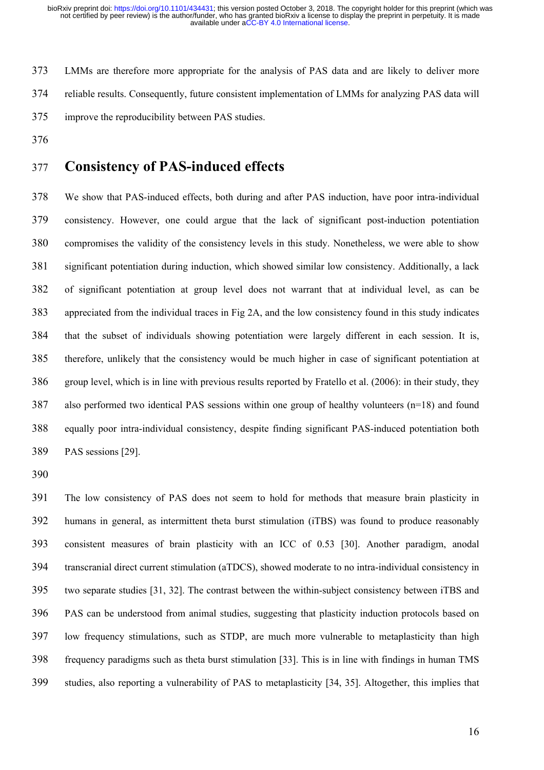LMMs are therefore more appropriate for the analysis of PAS data and are likely to deliver more reliable results. Consequently, future consistent implementation of LMMs for analyzing PAS data will improve the reproducibility between PAS studies.

#### **Consistency of PAS-induced effects**

 We show that PAS-induced effects, both during and after PAS induction, have poor intra-individual consistency. However, one could argue that the lack of significant post-induction potentiation compromises the validity of the consistency levels in this study. Nonetheless, we were able to show significant potentiation during induction, which showed similar low consistency. Additionally, a lack of significant potentiation at group level does not warrant that at individual level, as can be appreciated from the individual traces in Fig 2A, and the low consistency found in this study indicates that the subset of individuals showing potentiation were largely different in each session. It is, therefore, unlikely that the consistency would be much higher in case of significant potentiation at group level, which is in line with previous results reported by Fratello et al. (2006): in their study, they also performed two identical PAS sessions within one group of healthy volunteers (n=18) and found equally poor intra-individual consistency, despite finding significant PAS-induced potentiation both PAS sessions [29].

 The low consistency of PAS does not seem to hold for methods that measure brain plasticity in humans in general, as intermittent theta burst stimulation (iTBS) was found to produce reasonably consistent measures of brain plasticity with an ICC of 0.53 [30]. Another paradigm, anodal transcranial direct current stimulation (aTDCS), showed moderate to no intra-individual consistency in two separate studies [31, 32]. The contrast between the within-subject consistency between iTBS and PAS can be understood from animal studies, suggesting that plasticity induction protocols based on low frequency stimulations, such as STDP, are much more vulnerable to metaplasticity than high frequency paradigms such as theta burst stimulation [33]. This is in line with findings in human TMS studies, also reporting a vulnerability of PAS to metaplasticity [34, 35]. Altogether, this implies that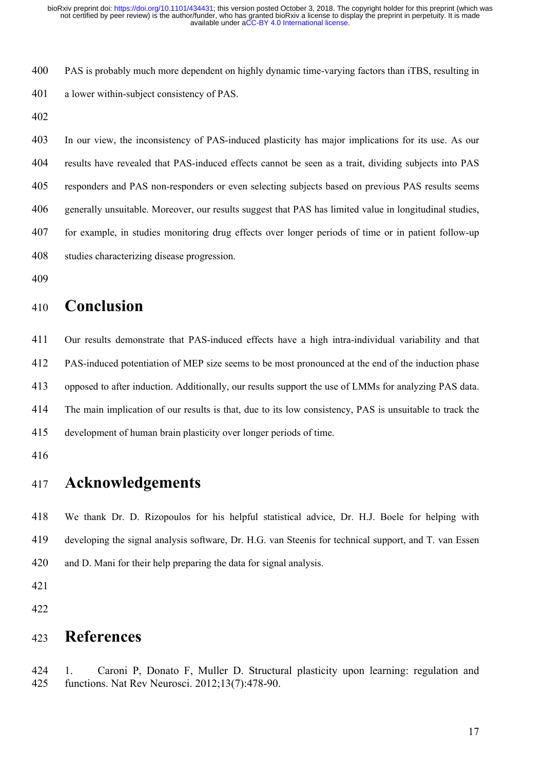PAS is probably much more dependent on highly dynamic time-varying factors than iTBS, resulting in a lower within-subject consistency of PAS.

 In our view, the inconsistency of PAS-induced plasticity has major implications for its use. As our results have revealed that PAS-induced effects cannot be seen as a trait, dividing subjects into PAS responders and PAS non-responders or even selecting subjects based on previous PAS results seems generally unsuitable. Moreover, our results suggest that PAS has limited value in longitudinal studies, for example, in studies monitoring drug effects over longer periods of time or in patient follow-up studies characterizing disease progression.

# **Conclusion**

 Our results demonstrate that PAS-induced effects have a high intra-individual variability and that PAS-induced potentiation of MEP size seems to be most pronounced at the end of the induction phase

opposed to after induction. Additionally, our results support the use of LMMs for analyzing PAS data.

- The main implication of our results is that, due to its low consistency, PAS is unsuitable to track the
- development of human brain plasticity over longer periods of time.

#### **Acknowledgements**

 We thank Dr. D. Rizopoulos for his helpful statistical advice, Dr. H.J. Boele for helping with developing the signal analysis software, Dr. H.G. van Steenis for technical support, and T. van Essen and D. Mani for their help preparing the data for signal analysis.

## **References**

424 1. Caroni P, Donato F, Muller D. Structural plasticity upon learning: regulation and 425 functions. Nat Rev Neurosci. 2012;13(7):478-90.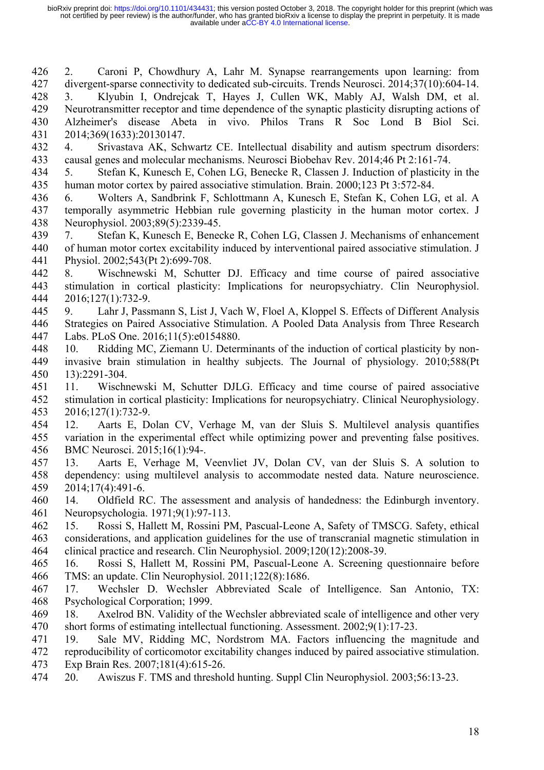426 2. Caroni P, Chowdhury A, Lahr M. Synapse rearrangements upon learning: from 427 divergent-sparse connectivity to dedicated sub-circuits. Trends Neurosci. 2014;37(10):604-14.

428 3. Klyubin I, Ondrejcak T, Hayes J, Cullen WK, Mably AJ, Walsh DM, et al. 429 Neurotransmitter receptor and time dependence of the synaptic plasticity disrupting actions of 430 Alzheimer's disease Abeta in vivo. Philos Trans R Soc Lond B Biol Sci. 431 2014;369(1633):20130147.

432 4. Srivastava AK, Schwartz CE. Intellectual disability and autism spectrum disorders: 433 causal genes and molecular mechanisms. Neurosci Biobehav Rev. 2014;46 Pt 2:161-74.

434 5. Stefan K, Kunesch E, Cohen LG, Benecke R, Classen J. Induction of plasticity in the 435 human motor cortex by paired associative stimulation. Brain. 2000;123 Pt 3:572-84.

436 6. Wolters A, Sandbrink F, Schlottmann A, Kunesch E, Stefan K, Cohen LG, et al. A 437 temporally asymmetric Hebbian rule governing plasticity in the human motor cortex. J 438 Neurophysiol. 2003;89(5):2339-45.

439 7. Stefan K, Kunesch E, Benecke R, Cohen LG, Classen J. Mechanisms of enhancement 440 of human motor cortex excitability induced by interventional paired associative stimulation. J 441 Physiol. 2002;543(Pt 2):699-708.

442 8. Wischnewski M, Schutter DJ. Efficacy and time course of paired associative 443 stimulation in cortical plasticity: Implications for neuropsychiatry. Clin Neurophysiol. 444 2016;127(1):732-9.

445 9. Lahr J, Passmann S, List J, Vach W, Floel A, Kloppel S. Effects of Different Analysis 446 Strategies on Paired Associative Stimulation. A Pooled Data Analysis from Three Research 447 Labs. PLoS One. 2016;11(5):e0154880.

448 10. Ridding MC, Ziemann U. Determinants of the induction of cortical plasticity by non-449 invasive brain stimulation in healthy subjects. The Journal of physiology. 2010;588(Pt 450 13):2291-304.

451 11. Wischnewski M, Schutter DJLG. Efficacy and time course of paired associative 452 stimulation in cortical plasticity: Implications for neuropsychiatry. Clinical Neurophysiology. 453 2016;127(1):732-9.

454 12. Aarts E, Dolan CV, Verhage M, van der Sluis S. Multilevel analysis quantifies 455 variation in the experimental effect while optimizing power and preventing false positives. 456 BMC Neurosci. 2015;16(1):94-.

457 13. Aarts E, Verhage M, Veenvliet JV, Dolan CV, van der Sluis S. A solution to 458 dependency: using multilevel analysis to accommodate nested data. Nature neuroscience. 459 2014;17(4):491-6.

460 14. Oldfield RC. The assessment and analysis of handedness: the Edinburgh inventory. 461 Neuropsychologia. 1971;9(1):97-113.

462 15. Rossi S, Hallett M, Rossini PM, Pascual-Leone A, Safety of TMSCG. Safety, ethical 463 considerations, and application guidelines for the use of transcranial magnetic stimulation in 464 clinical practice and research. Clin Neurophysiol. 2009;120(12):2008-39.

465 16. Rossi S, Hallett M, Rossini PM, Pascual-Leone A. Screening questionnaire before 466 TMS: an update. Clin Neurophysiol. 2011;122(8):1686.

467 17. Wechsler D. Wechsler Abbreviated Scale of Intelligence. San Antonio, TX: 468 Psychological Corporation; 1999.

469 18. Axelrod BN. Validity of the Wechsler abbreviated scale of intelligence and other very 470 short forms of estimating intellectual functioning. Assessment. 2002;9(1):17-23.

471 19. Sale MV, Ridding MC, Nordstrom MA. Factors influencing the magnitude and

472 reproducibility of corticomotor excitability changes induced by paired associative stimulation. 473 Exp Brain Res. 2007;181(4):615-26.

474 20. Awiszus F. TMS and threshold hunting. Suppl Clin Neurophysiol. 2003;56:13-23.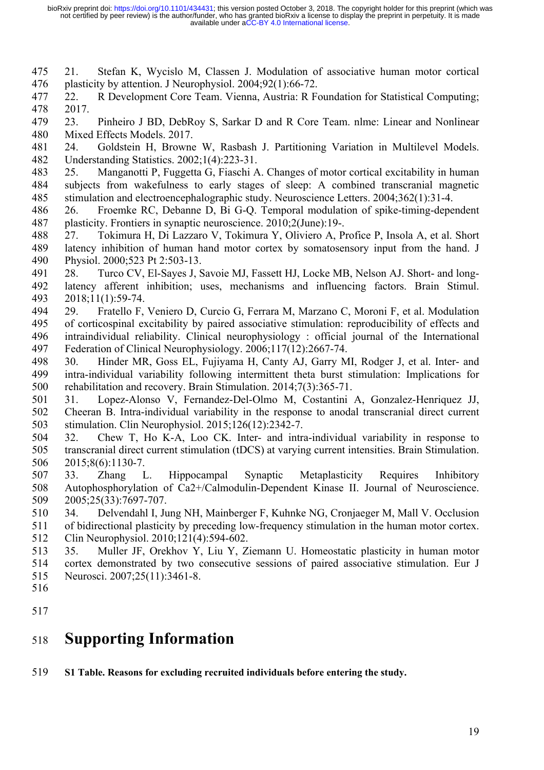- 475 21. Stefan K, Wycislo M, Classen J. Modulation of associative human motor cortical 476 plasticity by attention. J Neurophysiol. 2004;92(1):66-72.
- 477 22. R Development Core Team. Vienna, Austria: R Foundation for Statistical Computing; 478 2017.
- 479 23. Pinheiro J BD, DebRoy S, Sarkar D and R Core Team. nlme: Linear and Nonlinear 480 Mixed Effects Models. 2017.
- 481 24. Goldstein H, Browne W, Rasbash J. Partitioning Variation in Multilevel Models. 482 Understanding Statistics. 2002;1(4):223-31.
- 483 25. Manganotti P, Fuggetta G, Fiaschi A. Changes of motor cortical excitability in human 484 subjects from wakefulness to early stages of sleep: A combined transcranial magnetic 485 stimulation and electroencephalographic study. Neuroscience Letters. 2004;362(1):31-4.
- 486 26. Froemke RC, Debanne D, Bi G-Q. Temporal modulation of spike-timing-dependent 487 plasticity. Frontiers in synaptic neuroscience. 2010;2(June):19-.
- 488 27. Tokimura H, Di Lazzaro V, Tokimura Y, Oliviero A, Profice P, Insola A, et al. Short 489 latency inhibition of human hand motor cortex by somatosensory input from the hand. J 490 Physiol. 2000;523 Pt 2:503-13.
- 491 28. Turco CV, El-Sayes J, Savoie MJ, Fassett HJ, Locke MB, Nelson AJ. Short- and long-492 latency afferent inhibition; uses, mechanisms and influencing factors. Brain Stimul. 493 2018;11(1):59-74.
- 494 29. Fratello F, Veniero D, Curcio G, Ferrara M, Marzano C, Moroni F, et al. Modulation 495 of corticospinal excitability by paired associative stimulation: reproducibility of effects and 496 intraindividual reliability. Clinical neurophysiology : official journal of the International 497 Federation of Clinical Neurophysiology. 2006;117(12):2667-74.
- 498 30. Hinder MR, Goss EL, Fujiyama H, Canty AJ, Garry MI, Rodger J, et al. Inter- and 499 intra-individual variability following intermittent theta burst stimulation: Implications for 500 rehabilitation and recovery. Brain Stimulation. 2014;7(3):365-71.
- 501 31. Lopez-Alonso V, Fernandez-Del-Olmo M, Costantini A, Gonzalez-Henriquez JJ, 502 Cheeran B. Intra-individual variability in the response to anodal transcranial direct current 503 stimulation. Clin Neurophysiol. 2015;126(12):2342-7.
- 504 32. Chew T, Ho K-A, Loo CK. Inter- and intra-individual variability in response to 505 transcranial direct current stimulation (tDCS) at varying current intensities. Brain Stimulation. 506 2015;8(6):1130-7.
- 507 33. Zhang L. Hippocampal Synaptic Metaplasticity Requires Inhibitory 508 Autophosphorylation of Ca2+/Calmodulin-Dependent Kinase II. Journal of Neuroscience. 509 2005;25(33):7697-707.
- 510 34. Delvendahl I, Jung NH, Mainberger F, Kuhnke NG, Cronjaeger M, Mall V. Occlusion 511 of bidirectional plasticity by preceding low-frequency stimulation in the human motor cortex. 512 Clin Neurophysiol. 2010;121(4):594-602.
- 513 35. Muller JF, Orekhov Y, Liu Y, Ziemann U. Homeostatic plasticity in human motor 514 cortex demonstrated by two consecutive sessions of paired associative stimulation. Eur J 515 Neurosci. 2007;25(11):3461-8.
- 516
- 517

# <sup>518</sup> **Supporting Information**

519 **S1 Table. Reasons for excluding recruited individuals before entering the study.**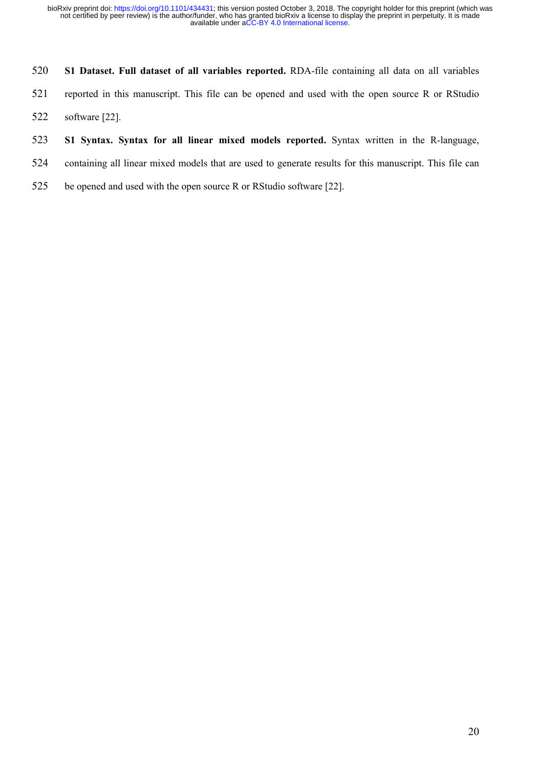- **S1 Dataset. Full dataset of all variables reported.** RDA-file containing all data on all variables
- reported in this manuscript. This file can be opened and used with the open source R or RStudio
- software [22].
- **S1 Syntax. Syntax for all linear mixed models reported.** Syntax written in the R-language,
- containing all linear mixed models that are used to generate results for this manuscript. This file can
- be opened and used with the open source R or RStudio software [22].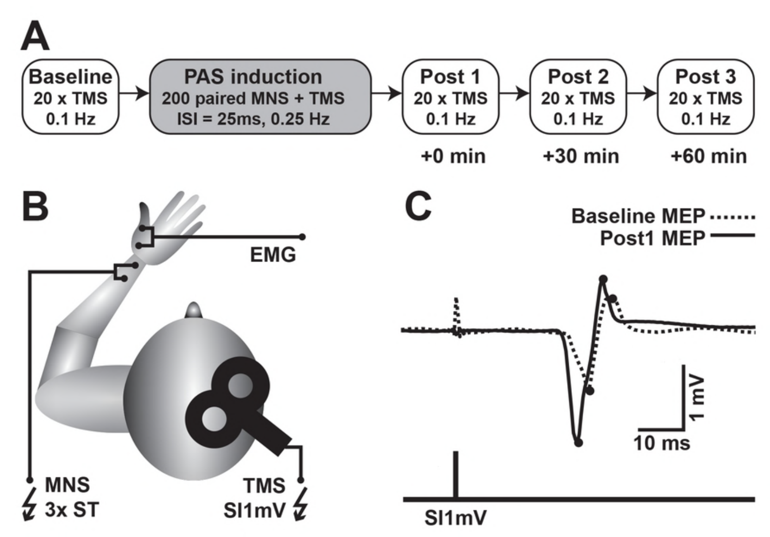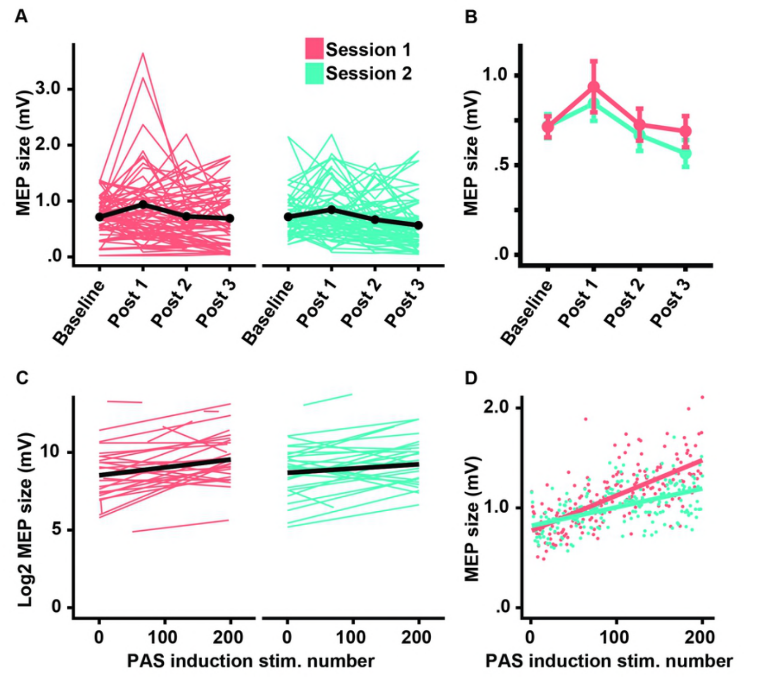